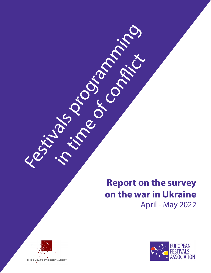# **Report on the survey on the war in Ukraine**  April - May 2022





Kestivals programming

in time of conflict.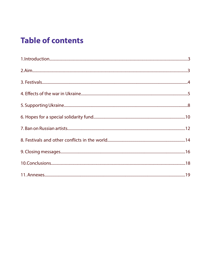# **Table of contents**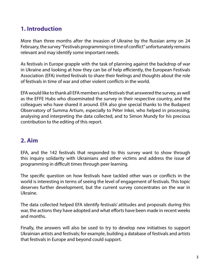# **1. Introduction**

More than three months after the invasion of Ukraine by the Russian army on 24 February, the survey "Festivals programming in time of conflict" unfortunately remains relevant and may identify some important needs.

As festivals in Europe grapple with the task of planning against the backdrop of war in Ukraine and looking at how they can be of help efficiently, the European Festivals Association (EFA) invited festivals to share their feelings and thoughts about the role of festivals in time of war and other violent conflicts in the world.

EFA would like to thank all EFA members and festivals that answered the survey, as well as the EFFE Hubs who disseminated the survey in their respective country, and the colleagues who have shared it around. EFA also give special thanks to the Budapest Observatory of Summa Artium, especially to Péter Inkei, who helped in processing, analysing and interpreting the data collected, and to Simon Mundy for his precious contribution to the editing of this report.

## **2. Aim**

EFA, and the 142 festivals that responded to this survey want to show through this inquiry solidarity with Ukrainians and other victims and address the issue of programming in difficult times through peer learning.

The specific question on how festivals have tackled other wars or conflicts in the world is interesting in terms of seeing the level of engagement of festivals. This topic deserves further development, but the current survey concentrates on the war in Ukraine.

The data collected helped EFA identify festivals' attitudes and proposals during this war, the actions they have adopted and what efforts have been made in recent weeks and months.

Finally, the answers will also be used to try to develop new initiatives to support Ukrainian artists and festivals; for example, building a database of festivals and artists that festivals in Europe and beyond could support.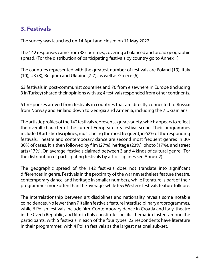# **3. Festivals**

The survey was launched on 14 April and closed on 11 May 2022.

The 142 responses came from 38 countries, covering a balanced and broad geographic spread. (For the distribution of participating festivals by country go to Annex 1).

The countries represented with the greatest number of festivals are Poland (19), Italy (10), UK (8), Belgium and Ukraine (7-7), as well as Greece (6).

63 festivals in post-communist countries and 70 from elsewhere in Europe (including 3 in Turkey) shared their opinions with us; 4 festivals responded from other continents.

51 responses arrived from festivals in countries that are directly connected to Russia: from Norway and Finland down to Georgia and Armenia, including the 7 Ukrainians.

The artistic profiles of the 142 festivals represent a great variety, which appears to reflect the overall character of the current European arts festival scene. Their programmes include 18 artistic disciplines, music being the most frequent, in 62% of the responding festivals. Theatre and contemporary dance are second most frequent genres in 30- 30% of cases. It is then followed by film (27%), heritage (23%), photo (17%), and street arts (17%). On average, festivals claimed between 3 and 4 kinds of cultural genre. (For the distribution of participating festivals by art disciplines see Annex 2).

The geographic spread of the 142 festivals does not translate into significant differences in genre. Festivals in the proximity of the war nevertheless feature theatre, contemporary dance, and heritage in smaller numbers, while literature is part of their programmes more often than the average, while few Western festivals feature folklore.

The interrelationship between art disciplines and nationality reveals some notable coincidences. No fewer than 7 Italian festivals feature interdisciplinary art programmes, while 6 Polish festivals include film. Contemporary dance in Croatia and Italy, theatre in the Czech Republic, and film in Italy constitute specific thematic clusters among the participants, with 5 festivals in each of the four types. 22 respondents have literature in their programmes, with 4 Polish festivals as the largest national sub-set.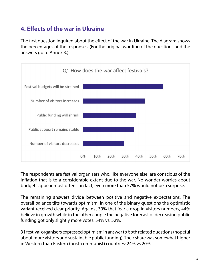# **4. Effects of the war in Ukraine**

The first question inquired about the effect of the war in Ukraine. The diagram shows the percentages of the responses. (For the original wording of the questions and the answers go to Annex 3.)



The respondents are festival organisers who, like everyone else, are conscious of the inflation that is to a considerable extent due to the war. No wonder worries about budgets appear most often – in fact, even more than 57% would not be a surprise.

The remaining answers divide between positive and negative expectations. The overall balance tilts towards optimism. In one of the binary questions the optimistic variant received clear priority. Against 30% that fear a drop in visitors numbers, 44% believe in growth while in the other couple the negative forecast of decreasing public funding got only slightly more votes: 54% vs. 52%.

31 festival organisers expressed optimism in answer to both related questions (hopeful about more visitors and sustainable public funding). Their share was somewhat higher in Western than Eastern (post-communist) countries: 24% vs 20%.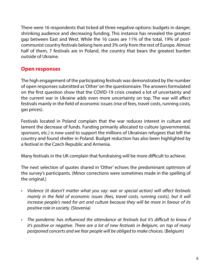There were 16 respondents that ticked all three negative options: budgets in danger, shrinking audience and decreasing funding. This instance has revealed the greatest gap between East and West. While the 16 cases are 11% of the total, 19% of postcommunist country festivals belong here and 3% only from the rest of Europe. Almost half of them, 7 festivals are in Poland, the country that bears the greatest burden outside of Ukraine.

#### **Open responses**

The high engagement of the participating festivals was demonstrated by the number of open responses submitted as 'Other' on the questionnaire. The answers formulated on the first question show that the COVID-19 crisis created a lot of uncertainty and the current war in Ukraine adds even more uncertainty on top. The war will affect festivals mainly in the field of economic issues (rise of fees, travel costs, running costs, gas prices).

Festivals located in Poland complain that the war reduces interest in culture and lament the decrease of funds. Funding primarily allocated to culture (governmental, sponsors, etc.) is now used to support the millions of Ukrainian refugees that left the country and found shelter in Poland. Budget reduction has also been highlighted by a festival in the Czech Republic and Armenia.

Many festivals in the UK complain that fundraising will be more difficult to achieve.

The next selection of quotes shared in 'Other' echoes the predominant optimism of the survey's participants. (Minor corrections were sometimes made in the spelling of the original.)

- *• Violence (it doesn't matter what you say: war or special action) will affect festivals mainly in the field of economic issues (fees, travel costs, running costs), but it will increase people's need for art and culture because they will be more in favour of its positive role in society.* (Slovenia)
- *• The pandemic has influenced the attendance at festivals but it's difficult to know if it's positive or negative. There are a lot of new festivals in Belgium, on top of many postponed concerts and we fear people will be obliged to make choices.* (Belgium)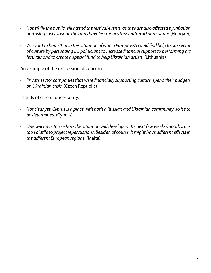- *• Hopefully the public will attend the festival events, as they are also affected by inflation and rising costs, so soon they may have less money to spend on art and culture.* (Hungary)
- *• We want to hope that in this situation of war in Europe EFA could find help to our sector of culture by persuading EU politicians to increase financial support to performing art festivals and to create a special fund to help Ukrainian artists.* (Lithuania)

An example of the expression of concern:

*• Private sector companies that were financially supporting culture, spend their budgets on Ukrainian crisis.* (Czech Republic)

Islands of careful uncertainty:

- *• Not clear yet. Cyprus is a place with both a Russian and Ukrainian community, so it's to be determined.* (Cyprus)
- *• One will have to see how the situation will develop in the next few weeks/months. It is too volatile to project repercussions. Besides, of course, it might have different effects in the different European regions.* (Malta)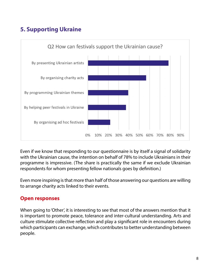# **5. Supporting Ukraine**



Even if we know that responding to our questionnaire is by itself a signal of solidarity with the Ukrainian cause, the intention on behalf of 78% to include Ukrainians in their programme is impressive. (The share is practically the same if we exclude Ukrainian respondents for whom presenting fellow nationals goes by definition.)

Even more inspiring is that more than half of those answering our questions are willing to arrange charity acts linked to their events.

#### **Open responses**

When going to 'Other', it is interesting to see that most of the answers mention that it is important to promote peace, tolerance and inter-cultural understanding. Arts and culture stimulate collective reflection and play a significant role in encounters during which participants can exchange, which contributes to better understanding between people.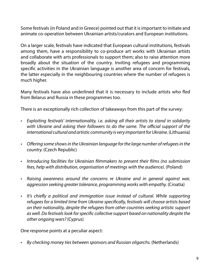Some festivals (in Poland and in Greece) pointed out that it is important to initiate and animate co-operation between Ukrainian artists/curators and European institutions.

On a larger scale, festivals have indicated that European cultural institutions, festivals among them, have a responsibility to co-produce art works with Ukrainian artists and collaborate with arts professionals to support them; also to raise attention more broadly about the situation of the country. Inviting refugees and programming specific activities in the Ukrainian language is another area of concern for festivals, the latter especially in the neighbouring countries where the number of refugees is much higher.

Many festivals have also underlined that it is necessary to include artists who fled from Belarus and Russia in these programmes too.

There is an exceptionally rich collection of takeaways from this part of the survey:

- *• Exploiting festivals' internationality, i.e. asking all their artists to stand in solidarity with Ukraine and asking their followers to do the same. The official support of the*  international cultural and artistic community is very important for Ukraine. (Lithuania)
- *• Offering some shows in the Ukrainian language for the large number of refugees in the country.* (Czech Republic)
- *• Introducing facilities for Ukrainian filmmakers to present their films (no submission fees, help with distribution, organisation of meetings with the audience).* (Poland)
- *• Raising awareness around the concerns re Ukraine and in general against war, aggression seeking greater tolerance, programming works with empathy.* (Croatia)
- *• It's chiefly a political and immigration issue instead of cultural. While supporting refugees for a limited time from Ukraine specifically, festivals will choose artists based on their nationality, despite the refugees from other countries seeking artistic support as well. Do festivals look for specific collective support based on nationality despite the other ongoing wars?* (Cyprus)

One response points at a peculiar aspect:

*• By checking money ties between sponsors and Russian oligarchs.* (Netherlands)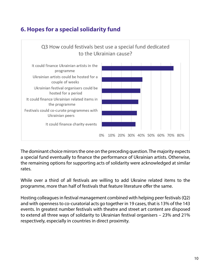# **6. Hopes for a special solidarity fund**



The dominant choice mirrors the one on the preceding question. The majority expects a special fund eventually to finance the performance of Ukrainian artists. Otherwise, the remaining options for supporting acts of solidarity were acknowledged at similar rates.

While over a third of all festivals are willing to add Ukraine related items to the programme, more than half of festivals that feature literature offer the same.

Hosting colleagues in festival management combined with helping peer festivals (Q2) and with openness to co-curatorial acts go together in 19 cases, that is 13% of the 143 events. In greatest number festivals with theatre and street art content are disposed to extend all three ways of solidarity to Ukrainian festival organisers – 23% and 21% respectively, especially in countries in direct proximity.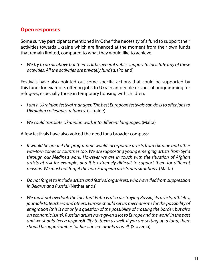## **Open responses**

Some survey participants mentioned in 'Other' the necessity of a fund to support their activities towards Ukraine which are financed at the moment from their own funds that remain limited, compared to what they would like to achieve.

*• We try to do all above but there is little general public support to facilitate any of these activities. All the activities are privately funded.* (Poland)

Festivals have also pointed out some specific actions that could be supported by this fund: for example, offering jobs to Ukrainian people or special programming for refugees, especially those in temporary housing with children.

- *• I am a Ukrainian festival manager. The best European festivals can do is to offer jobs to Ukrainian colleagues-refugees.* (Ukraine)
- *• We could translate Ukrainian work into different languages.* (Malta)

A few festivals have also voiced the need for a broader compass:

- *• It would be great if the programme would incorporate artists from Ukraine and other war-torn zones or countries too. We are supporting young emerging artists from Syria through our Medinea work. However we are in touch with the situation of Afghan artists at risk for example, and it is extremely difficult to support them for different reasons. We must not forget the non-European artists and situations.* (Malta)
- *• Do not forget to include artists and festival organisers, who have fled from suppression in Belarus and Russia!* (Netherlands)
- *• We must not overlook the fact that Putin is also destroying Russia, its artists, athletes, journalists, teachers and others. Europe should set up mechanisms for the possibility of emigration (this is not only a question of the possibility of crossing the border, but also an economic issue). Russian artists have given a lot to Europe and the world in the past and we should feel a responsibility to them as well. If you are setting up a fund, there should be opportunities for Russian emigrants as well.* (Slovenia)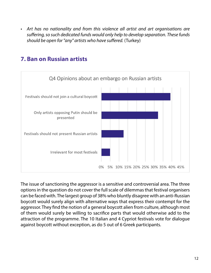*• Art has no nationality and from this violence all artist and art organisations are suffering, so such dedicated funds would only help to develop separation. These funds should be open for "any" artists who have suffered.* (Turkey)



## **7. Ban on Russian artists**

The issue of sanctioning the aggressor is a sensitive and controversial area. The three options in the question do not cover the full scale of dilemmas that festival organisers can be faced with. The largest group of 38% who bluntly disagree with an anti-Russian boycott would surely align with alternative ways that express their contempt for the aggressor. They find the notion of a general boycott alien from culture, although most of them would surely be willing to sacrifice parts that would otherwise add to the attraction of the programme. The 10 Italian and 4 Cypriot festivals vote for dialogue against boycott without exception, as do 5 out of 6 Greek participants.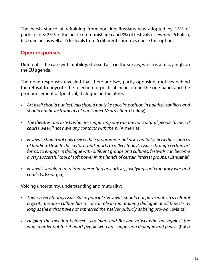The harsh stance of refraining from booking Russians was adopted by 13% of participants: 23% of the post-communist area and 3% of festivals elsewhere. 6 Polish, 6 Ukrainian, as well as 6 festivals from 6 different countries chose this option.

#### **Open responses**

Different is the case with mobility, stressed also in the survey, which is already high on the EU agenda.

The open responses revealed that there are two, partly opposing, motives behind the refusal to boycott: the rejection of political incursion on the one hand, and the pronouncement of (political) dialogue on the other.

- *• Art itself should but festivals should not take specific position in political conflicts and should not be instruments of punishment/correction.* (Turkey)
- *• The theatres and artists who are supporting any war are not cultural people to me. Of course we will not have any contacts with them.* (Armenia)
- *• Festivals should not only review their programme, but also carefully check their sources of funding. Despite their efforts and efforts to reflect today's issues through certain art forms, to engage in dialogue with different groups and cultures, festivals can become a very successful tool of soft power in the hands of certain interest groups.* (Lithuania)
- *• Festivals should refrain from presenting any artists, justifying contemporary war and conflicts.* (Georgia)

Voicing uncertainty, understanding and mutuality:

- *• This is a very thorny issue. But in principle "Festivals should not participate in a cultural boycott, because culture has a critical role in maintaining dialogue at all times" - as*  long as the artists have not expressed themselves publicly as being pro-war. (Malta)
- *• Helping the meeting between Ukrainian and Russian artists who are against the war, in order not to set apart people who are supporting dialogue and peace.* (Italy)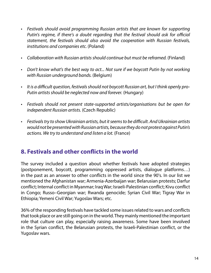- *• Festivals should avoid programming Russian artists that are known for supporting Putin's regime, if there's a doubt regarding that the festival should ask for official statement, the festivals should also avoid the cooperation with Russian festivals, institutions and companies etc.* (Poland)
- *• Collaboration with Russian artists should continue but must be reframed.* (Finland)
- *• Don't know what's the best way to act... Not sure if we boycott Putin by not working with Russian underground bands.* (Belgium)
- *• It is a difficult question, festivals should not boycott Russian art, but I think openly pro-Putin artists should be neglected now and forever.* (Hungary)
- *• Festivals should not present state-supported artists/organisations but be open for independent Russian artists.* (Czech Republic)
- *• Festivals try to show Ukrainian artists, but it seems to be difficult. And Ukrainian artists would not be presented with Russian artists, because they do not protest against Putin's actions. We try to understand and listen a lot.* (France)

## **8. Festivals and other conflicts in the world**

The survey included a question about whether festivals have adopted strategies (postponement, boycott, programming oppressed artists, dialogue platforms…) in the past as an answer to other conflicts in the world since the 90's. In our list we mentioned the Afghanistan war; Armenia-Azerbaijan war; Belarusian protests; Darfur conflict; Internal conflict in Myanmar; Iraq War; Israeli-Palestinian conflict; Kivu conflict in Congo; Russo–Georgian war; Rwanda genocide; Syrian Civil War; Tigray War in Ethiopia; Yemeni Civil War; Yugoslav Wars; etc.

36% of the responding festivals have tackled some issues related to wars and conflicts that took place or are still going on in the world. They mainly mentioned the important role that culture can play, especially raising awareness. Some have been involved in the Syrian conflict, the Belarusian protests, the Israeli-Palestinian conflict, or the Yugoslav wars.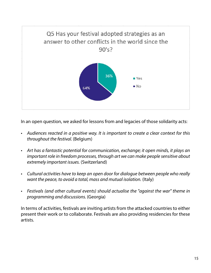

In an open question, we asked for lessons from and legacies of those solidarity acts:

- *• Audiences reacted in a positive way. It is important to create a clear context for this throughout the festival.* (Belgium)
- *• Art has a fantastic potential for communication, exchange; it open minds, it plays an important role in freedom processes, through art we can make people sensitive about extremely important issues.* (Switzerland)
- *• Cultural activities have to keep an open door for dialogue between people who really want the peace, to avoid a total, mass and mutual isolation.* (Italy)
- *• Festivals (and other cultural events) should actualise the "against the war" theme in programming and discussions.* (Georgia)

In terms of activities, festivals are inviting artists from the attacked countries to either present their work or to collaborate. Festivals are also providing residencies for these artists.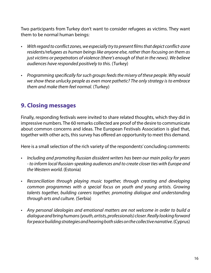Two participants from Turkey don't want to consider refugees as victims. They want them to be normal human beings:

- *• With regard to conflict zones, we especially try to present films that depict conflict-zone residents/refugees as human beings like anyone else, rather than focusing on them as just victims or perpetrators of violence (there's enough of that in the news). We believe audiences have responded positively to this.* (Turkey)
- *• Programming specifically for such groups feeds the misery of these people. Why would we show these unlucky people as even more pathetic? The only strategy is to embrace them and make them feel normal.* (Turkey)

## **9. Closing messages**

Finally, responding festivals were invited to share related thoughts, which they did in impressive numbers. The 60 remarks collected are proof of the desire to communicate about common concerns and ideas. The European Festivals Association is glad that, together with other acts, this survey has offered an opportunity to meet this demand.

Here is a small selection of the rich variety of the respondents' concluding comments:

- *• Including and promoting Russian dissident writers has been our main policy for years - to inform local Russian-speaking audiences and to create closer ties with Europe and the Western world.* (Estonia)
- *• Reconciliation through playing music together, through creating and developing common programmes with a special focus on youth and young artists. Growing talents together, building careers together, promoting dialogue and understanding through arts and culture.* (Serbia)
- *• Any personal ideologies and emotional matters are not welcome in order to build a dialogue and bring humans (youth, artists, professionals) closer. Really looking forward for peace building strategies and hearing both sides on the collective narrative.* (Cyprus)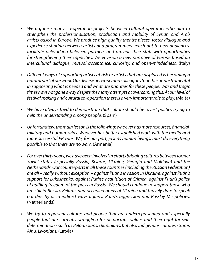- *• We organise many co-operation projects between cultural operators who aim to strengthen the professionalisation, production and mobility of Syrian and Arab artists based in Europe. We produce high quality theatre pieces, foster dialogue and experience sharing between artists and programmers, reach out to new audiences, facilitate networking between partners and provide their staff with opportunities for strengthening their capacities. We envision a new narrative of Europe based on intercultural dialogue, mutual acceptance, curiosity, and open-mindedness.* (Italy)
- *• Different ways of supporting artists at risk or artists that are displaced is becoming a natural part of our work. Our diverse networks and colleagues together are instrumental in supporting what is needed and what are priorities for these people. War and tragic times have not gone away despite the many attempts at overcoming this. At our level of festival making and cultural co-operation there is a very important role to play.* (Malta)
- *• We have always tried to demonstrate that culture should be "over" politics trying to help the understanding among people.* (Spain)
- *• Unfortunately, the main lesson is the following: whoever has more resources, financial, military and human, wins. Whoever has better established work with the media and more successful PR wins. We, for our part, just as human beings, must do everything possible so that there are no wars.* (Armenia)
- *• For over thirty years, we have been involved in efforts bridging cultures between former Soviet states (especially Russia, Belarus, Ukraine, Georgia and Moldova) and the Netherlands. Our counterparts in all these countries (including the Russian Federation) are all – really without exception – against Putin's invasion in Ukraine, against Putin's support for Lukashenko, against Putin's acquisition of Crimea, against Putin's policy of baffling freedom of the press in Russia. We should continue to support those who are still in Russia, Belarus and occupied areas of Ukraine and bravely dare to speak out directly or in indirect ways against Putin's aggression and Russkiy Mir policies.*  (Netherlands)
- *• We try to represent cultures and people that are underrepresented and especially people that are currently struggling for democratic values and their right for selfdetermination - such as Belorussians, Ukrainians, but also indigenous cultures - Sami, Ainu, Livonians.* (Latvia)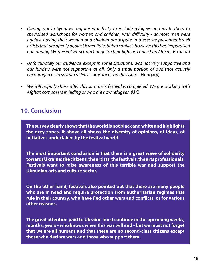- *• During war in Syria, we organised activity to include refugees and invite them to specialised workshops for women and children, with difficulty - as most men were against having their women and children participate in these; we presented Israeli artists that are openly against Israel-Palestinian conflict, however this has jeopardised our funding. We present work from Congo to shine light on conflicts in Africa...* (Croatia)
- *• Unfortunately our audience, except in some situations, was not very supportive and our funders were not supportive at all. Only a small portion of audience actively encouraged us to sustain at least some focus on the issues.* (Hungary)
- *• We will happily share after this summer's festival is completed. We are working with Afghan composers in hiding or who are now refugees.* (UK)

## **10. Conclusion**

**The survey clearly shows that the world is not black and white and highlights the grey zones. It above all shows the diversity of opinions, of ideas, of initiatives undertaken by the festival world.**

**The most important conclusion is that there is a great wave of solidarity towards Ukraine: the citizens, the artists, the festivals, the arts professionals. Festivals want to raise awareness of this terrible war and support the Ukrainian arts and culture sector.**

**On the other hand, festivals also pointed out that there are many people who are in need and require protection from authoritarian regimes that rule in their country, who have fled other wars and conflicts, or for various other reasons.** 

**The great attention paid to Ukraine must continue in the upcoming weeks, months, years - who knows when this war will end - but we must not forget that we are all humans and that there are no second-class citizens except those who declare wars and those who support them.**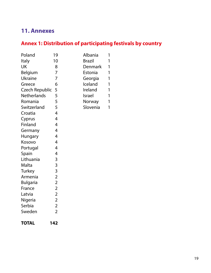## **11. Annexes**

# **Annex 1: Distribution of participating festivals by country**

| Poland                | 19             | Albania       | 1 |
|-----------------------|----------------|---------------|---|
| Italy                 | 10             | <b>Brazil</b> | 1 |
| UK                    | 8              | Denmark       | 1 |
| Belgium               | 7              | Estonia       | 1 |
| <b>Ukraine</b>        | 7              | Georgia       | 1 |
| Greece                | 6              | Iceland       | 1 |
| <b>Czech Republic</b> | 5              | Ireland       | 1 |
| <b>Netherlands</b>    | 5              | <b>Israel</b> | 1 |
| Romania               | 5              | Norway        | 1 |
| Switzerland           | 5              | Slovenia      | 1 |
| Croatia               | 4              |               |   |
| Cyprus                | $\overline{4}$ |               |   |
| Finland               | 4              |               |   |
| Germany               | 4              |               |   |
| <b>Hungary</b>        | 4              |               |   |
| Kosovo                | 4              |               |   |
| Portugal              | $\overline{4}$ |               |   |
| Spain                 | 4              |               |   |
| Lithuania             | 3              |               |   |
| Malta                 | 3              |               |   |
| <b>Turkey</b>         | 3              |               |   |
| Armenia               | $\overline{2}$ |               |   |
| <b>Bulgaria</b>       | $\overline{2}$ |               |   |
| France                | $\overline{2}$ |               |   |
| Latvia                | $\overline{2}$ |               |   |
| Nigeria               | $\overline{2}$ |               |   |
| Serbia                | $\overline{2}$ |               |   |
| Sweden                | $\overline{2}$ |               |   |
|                       |                |               |   |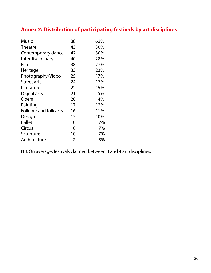## **Annex 2: Distribution of participating festivals by art disciplines**

| <b>Music</b>           | 88 | 62% |
|------------------------|----|-----|
| <b>Theatre</b>         | 43 | 30% |
| Contemporary dance     | 42 | 30% |
| Interdisciplinary      | 40 | 28% |
| Film                   | 38 | 27% |
| Heritage               | 33 | 23% |
| Photography/Video      | 25 | 17% |
| <b>Street arts</b>     | 24 | 17% |
| Literature             | 22 | 15% |
| Digital arts           | 21 | 15% |
| Opera                  | 20 | 14% |
| Painting               | 17 | 12% |
| Folklore and folk arts | 16 | 11% |
| Design                 | 15 | 10% |
| <b>Ballet</b>          | 10 | 7%  |
| Circus                 | 10 | 7%  |
| Sculpture              | 10 | 7%  |
| Architecture           | 7  | 5%  |

NB: On average, festivals claimed between 3 and 4 art disciplines.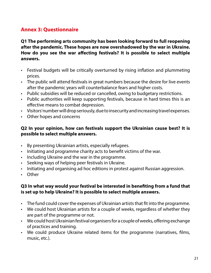### **Annex 3: Questionnaire**

**Q1 The performing arts community has been looking forward to full reopening after the pandemic. These hopes are now overshadowed by the war in Ukraine. How do you see the war affecting festivals? It is possible to select multiple answers.** 

- Festival budgets will be critically overturned by rising inflation and plummeting prices.
- The public will attend festivals in great numbers because the desire for live events after the pandemic years will counterbalance fears and higher costs.
- Public subsidies will be reduced or cancelled, owing to budgetary restrictions.
- Public authorities will keep supporting festivals, because in hard times this is an effective means to combat depression.
- Visitors' number will drop seriously, due to insecurity and increasing travel expenses.
- Other hopes and concerns

#### **Q2 In your opinion, how can festivals support the Ukrainian cause best? It is possible to select multiple answers.**

- By presenting Ukrainian artists, especially refugees.
- Initiating and programme charity acts to benefit victims of the war.
- Including Ukraine and the war in the programme.
- Seeking ways of helping peer festivals in Ukraine.
- Initiating and organising ad hoc editions in protest against Russian aggression.
- Other

#### **Q3 In what way would your festival be interested in benefiting from a fund that is set up to help Ukraine? It is possible to select multiple answers.**

- The fund could cover the expenses of Ukrainian artists that fit into the programme.
- We could host Ukrainian artists for a couple of weeks, regardless of whether they are part of the programme or not.
- We could host Ukrainian festival organisers for a couple of weeks, offering exchange of practices and training.
- We could produce Ukraine related items for the programme (narratives, films, music, etc.).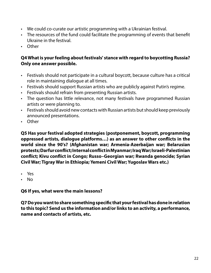- We could co-curate our artistic programming with a Ukrainian festival.
- The resources of the fund could facilitate the programming of events that benefit Ukraine in the festival.
- Other

#### **Q4 What is your feeling about festivals' stance with regard to boycotting Russia? Only one answer possible.**

- Festivals should not participate in a cultural boycott, because culture has a critical role in maintaining dialogue at all times.
- Festivals should support Russian artists who are publicly against Putin's regime.
- Festivals should refrain from presenting Russian artists.
- The question has little relevance, not many festivals have programmed Russian artists or were planning to.
- Festivals should avoid new contacts with Russian artists but should keep previously announced presentations.
- Other

**Q5 Has your festival adopted strategies (postponement, boycott, programming oppressed artists, dialogue platforms…) as an answer to other conflicts in the world since the 90's? (Afghanistan war; Armenia-Azerbaijan war; Belarusian protests; Darfur conflict; Internal conflict in Myanmar; Iraq War; Israeli-Palestinian conflict; Kivu conflict in Congo; Russo–Georgian war; Rwanda genocide; Syrian Civil War; Tigray War in Ethiopia; Yemeni Civil War; Yugoslav Wars etc.)**

- Yes
- No

**Q6 If yes, what were the main lessons?**

**Q7 Do you want to share something specific that your festival has done in relation to this topic? Send us the information and/or links to an activity, a performance, name and contacts of artists, etc.**